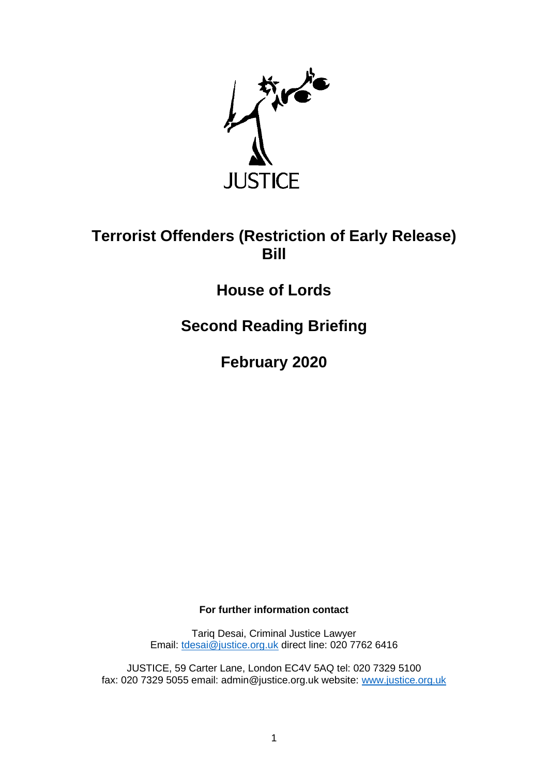

## **Terrorist Offenders (Restriction of Early Release) Bill**

## **House of Lords**

**Second Reading Briefing**

**February 2020**

**For further information contact**

Tariq Desai, Criminal Justice Lawyer Email: [tdesai@justice.org.uk](mailto:tdesai@justice.org.uk) direct line: 020 7762 6416

JUSTICE, 59 Carter Lane, London EC4V 5AQ tel: 020 7329 5100 fax: 020 7329 5055 email: admin@justice.org.uk website: [www.justice.org.uk](http://www.justice.org.uk/)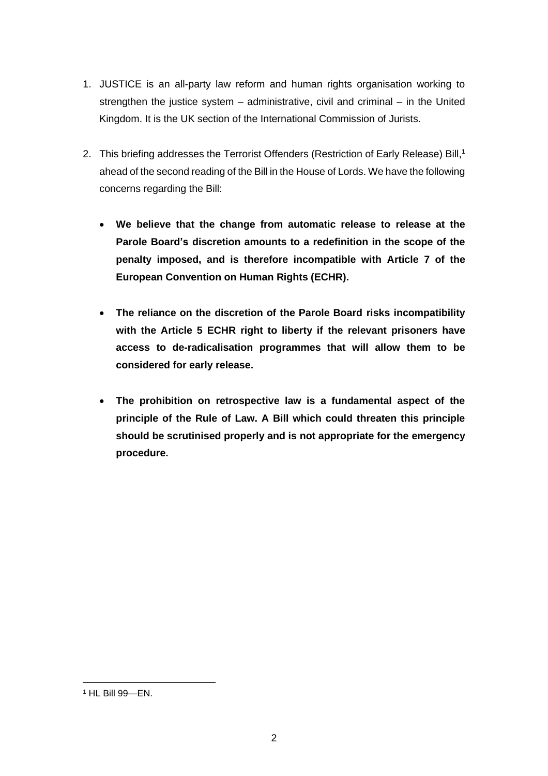- 1. JUSTICE is an all-party law reform and human rights organisation working to strengthen the justice system – administrative, civil and criminal – in the United Kingdom. It is the UK section of the International Commission of Jurists.
- 2. This briefing addresses the Terrorist Offenders (Restriction of Early Release) Bill, 1 ahead of the second reading of the Bill in the House of Lords. We have the following concerns regarding the Bill:
	- **We believe that the change from automatic release to release at the Parole Board's discretion amounts to a redefinition in the scope of the penalty imposed, and is therefore incompatible with Article 7 of the European Convention on Human Rights (ECHR).**
	- **The reliance on the discretion of the Parole Board risks incompatibility with the Article 5 ECHR right to liberty if the relevant prisoners have access to de-radicalisation programmes that will allow them to be considered for early release.**
	- **The prohibition on retrospective law is a fundamental aspect of the principle of the Rule of Law. A Bill which could threaten this principle should be scrutinised properly and is not appropriate for the emergency procedure.**

<sup>1</sup> HL Bill 99—EN.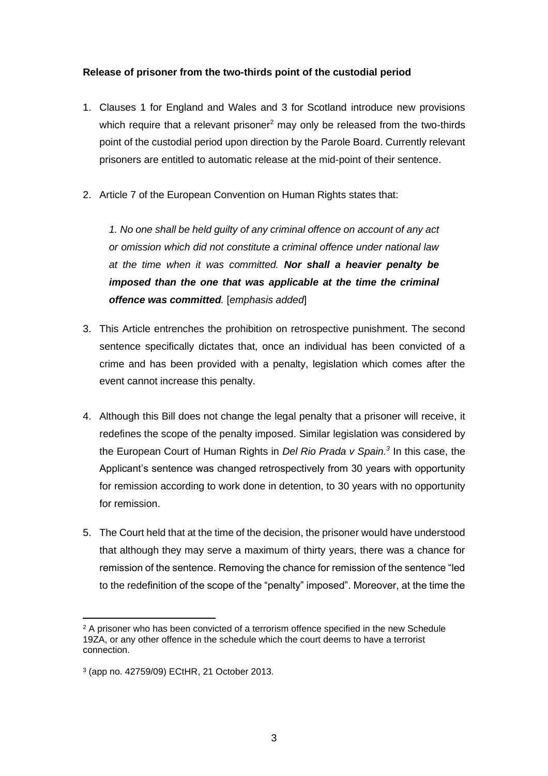## **Release of prisoner from the two-thirds point of the custodial period**

- 1. Clauses 1 for England and Wales and 3 for Scotland introduce new provisions which require that a relevant prisoner<sup>2</sup> may only be released from the two-thirds point of the custodial period upon direction by the Parole Board. Currently relevant prisoners are entitled to automatic release at the mid-point of their sentence.
- 2. Article 7 of the European Convention on Human Rights states that:

*1. No one shall be held guilty of any criminal offence on account of any act or omission which did not constitute a criminal offence under national law at the time when it was committed. Nor shall a heavier penalty be imposed than the one that was applicable at the time the criminal offence was committed.* [*emphasis added*]

- 3. This Article entrenches the prohibition on retrospective punishment. The second sentence specifically dictates that, once an individual has been convicted of a crime and has been provided with a penalty, legislation which comes after the event cannot increase this penalty.
- 4. Although this Bill does not change the legal penalty that a prisoner will receive, it redefines the scope of the penalty imposed. Similar legislation was considered by the European Court of Human Rights in *Del Rio Prada v Spain.<sup>3</sup>* In this case, the Applicant's sentence was changed retrospectively from 30 years with opportunity for remission according to work done in detention, to 30 years with no opportunity for remission.
- 5. The Court held that at the time of the decision, the prisoner would have understood that although they may serve a maximum of thirty years, there was a chance for remission of the sentence. Removing the chance for remission of the sentence "led to the redefinition of the scope of the "penalty" imposed". Moreover, at the time the

 $2$  A prisoner who has been convicted of a terrorism offence specified in the new Schedule 19ZA, or any other offence in the schedule which the court deems to have a terrorist connection.

<sup>3</sup> (app no. 42759/09) ECtHR, 21 October 2013.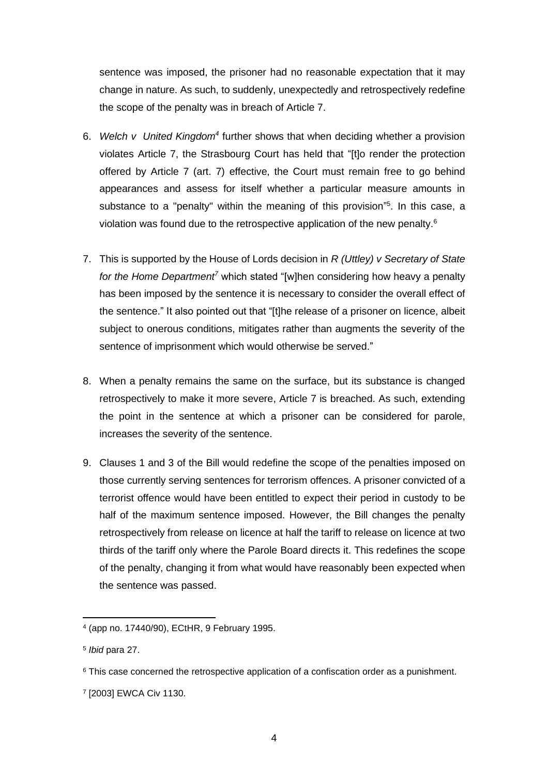sentence was imposed, the prisoner had no reasonable expectation that it may change in nature. As such, to suddenly, unexpectedly and retrospectively redefine the scope of the penalty was in breach of Article 7.

- 6. Welch v United Kingdom<sup>4</sup> further shows that when deciding whether a provision violates Article 7, the Strasbourg Court has held that "[t]o render the protection offered by Article 7 (art. 7) effective, the Court must remain free to go behind appearances and assess for itself whether a particular measure amounts in substance to a "penalty" within the meaning of this provision" 5 . In this case, a violation was found due to the retrospective application of the new penalty.<sup>6</sup>
- 7. This is supported by the House of Lords decision in *R (Uttley) v Secretary of State*  for the Home Department<sup>7</sup> which stated "[w]hen considering how heavy a penalty has been imposed by the sentence it is necessary to consider the overall effect of the sentence." It also pointed out that "[t]he release of a prisoner on licence, albeit subject to onerous conditions, mitigates rather than augments the severity of the sentence of imprisonment which would otherwise be served."
- 8. When a penalty remains the same on the surface, but its substance is changed retrospectively to make it more severe, Article 7 is breached. As such, extending the point in the sentence at which a prisoner can be considered for parole, increases the severity of the sentence.
- 9. Clauses 1 and 3 of the Bill would redefine the scope of the penalties imposed on those currently serving sentences for terrorism offences. A prisoner convicted of a terrorist offence would have been entitled to expect their period in custody to be half of the maximum sentence imposed. However, the Bill changes the penalty retrospectively from release on licence at half the tariff to release on licence at two thirds of the tariff only where the Parole Board directs it. This redefines the scope of the penalty, changing it from what would have reasonably been expected when the sentence was passed.

<sup>4</sup> (app no. 17440/90), ECtHR, 9 February 1995.

<sup>5</sup> *Ibid* para 27.

<sup>&</sup>lt;sup>6</sup> This case concerned the retrospective application of a confiscation order as a punishment.

<sup>7</sup> [2003] EWCA Civ 1130.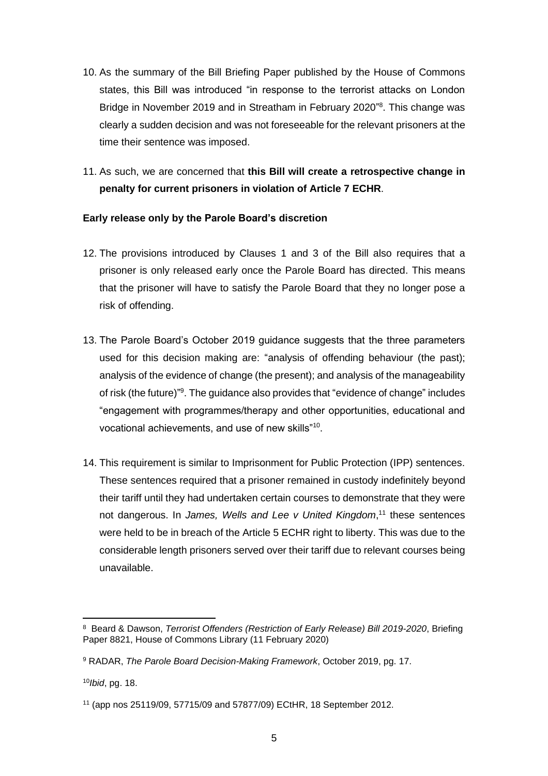- 10. As the summary of the Bill Briefing Paper published by the House of Commons states, this Bill was introduced "in response to the terrorist attacks on London Bridge in November 2019 and in Streatham in February 2020" 8 . This change was clearly a sudden decision and was not foreseeable for the relevant prisoners at the time their sentence was imposed.
- 11. As such, we are concerned that **this Bill will create a retrospective change in penalty for current prisoners in violation of Article 7 ECHR**.

## **Early release only by the Parole Board's discretion**

- 12. The provisions introduced by Clauses 1 and 3 of the Bill also requires that a prisoner is only released early once the Parole Board has directed. This means that the prisoner will have to satisfy the Parole Board that they no longer pose a risk of offending.
- 13. The Parole Board's October 2019 guidance suggests that the three parameters used for this decision making are: "analysis of offending behaviour (the past); analysis of the evidence of change (the present); and analysis of the manageability of risk (the future)"<sup>9</sup>. The guidance also provides that "evidence of change" includes "engagement with programmes/therapy and other opportunities, educational and vocational achievements, and use of new skills"<sup>10</sup> .
- 14. This requirement is similar to Imprisonment for Public Protection (IPP) sentences. These sentences required that a prisoner remained in custody indefinitely beyond their tariff until they had undertaken certain courses to demonstrate that they were not dangerous. In *James, Wells and Lee v United Kingdom*, <sup>11</sup> these sentences were held to be in breach of the Article 5 ECHR right to liberty. This was due to the considerable length prisoners served over their tariff due to relevant courses being unavailable.

<sup>8</sup> Beard & Dawson, *Terrorist Offenders (Restriction of Early Release) Bill 2019-2020*, Briefing Paper 8821, House of Commons Library (11 February 2020)

<sup>9</sup> RADAR, *The Parole Board Decision-Making Framework*, October 2019, pg. 17.

<sup>10</sup>*Ibid*, pg. 18.

<sup>11</sup> (app nos 25119/09, 57715/09 and 57877/09) ECtHR, 18 September 2012.